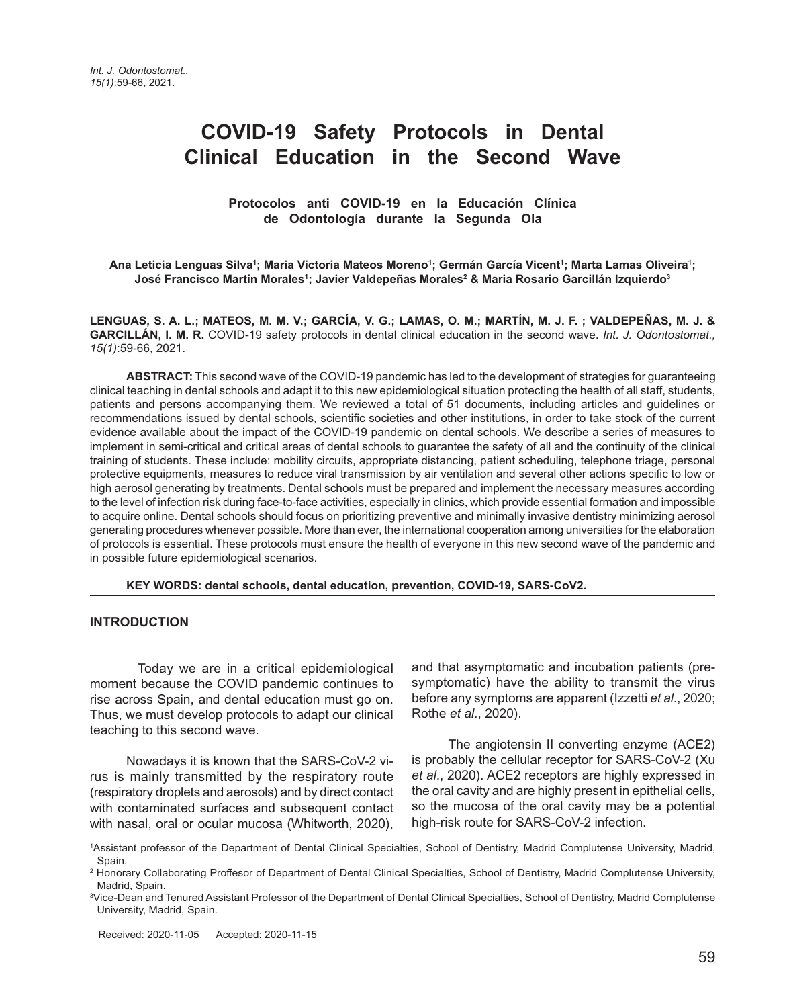# **COVID-19 Safety Protocols in Dental Clinical Education in the Second Wave**

#### **Protocolos anti COVID-19 en la Educación Clínica de Odontología durante la Segunda Ola**

Ana Leticia Lenguas Silva<sup>ı</sup>; Maria Victoria Mateos Moreno<sup>1</sup>; Germán García Vicent<sup>ı</sup>; Marta Lamas Oliveira<sup>ı</sup>; **José Francisco Martín Morales1 ; Javier Valdepeñas Morales2 & Maria Rosario Garcillán Izquierdo3**

**LENGUAS, S. A. L.; MATEOS, M. M. V.; GARCÍA, V. G.; LAMAS, O. M.; MARTÍN, M. J. F. ; VALDEPEÑAS, M. J. & GARCILLÁN, I. M. R.** COVID-19 safety protocols in dental clinical education in the second wave. *Int. J. Odontostomat., 15(1)*:59-66, 2021.

**ABSTRACT:** This second wave of the COVID-19 pandemic has led to the development of strategies for guaranteeing clinical teaching in dental schools and adapt it to this new epidemiological situation protecting the health of all staff, students, patients and persons accompanying them. We reviewed a total of 51 documents, including articles and guidelines or recommendations issued by dental schools, scientific societies and other institutions, in order to take stock of the current evidence available about the impact of the COVID-19 pandemic on dental schools. We describe a series of measures to implement in semi-critical and critical areas of dental schools to guarantee the safety of all and the continuity of the clinical training of students. These include: mobility circuits, appropriate distancing, patient scheduling, telephone triage, personal protective equipments, measures to reduce viral transmission by air ventilation and several other actions specific to low or high aerosol generating by treatments. Dental schools must be prepared and implement the necessary measures according to the level of infection risk during face-to-face activities, especially in clinics, which provide essential formation and impossible to acquire online. Dental schools should focus on prioritizing preventive and minimally invasive dentistry minimizing aerosol generating procedures whenever possible. More than ever, the international cooperation among universities for the elaboration of protocols is essential. These protocols must ensure the health of everyone in this new second wave of the pandemic and in possible future epidemiological scenarios.

**KEY WORDS: dental schools, dental education, prevention, COVID-19, SARS-CoV2.**

#### **INTRODUCTION**

 Today we are in a critical epidemiological moment because the COVID pandemic continues to rise across Spain, and dental education must go on. Thus, we must develop protocols to adapt our clinical teaching to this second wave.

Nowadays it is known that the SARS-CoV-2 virus is mainly transmitted by the respiratory route (respiratory droplets and aerosols) and by direct contact with contaminated surfaces and subsequent contact with nasal, oral or ocular mucosa (Whitworth, 2020), and that asymptomatic and incubation patients (presymptomatic) have the ability to transmit the virus before any symptoms are apparent (Izzetti *et al*., 2020; Rothe *et al*., 2020).

The angiotensin II converting enzyme (ACE2) is probably the cellular receptor for SARS-CoV-2 (Xu *et al*., 2020). ACE2 receptors are highly expressed in the oral cavity and are highly present in epithelial cells, so the mucosa of the oral cavity may be a potential high-risk route for SARS-CoV-2 infection.

<sup>1</sup> Assistant professor of the Department of Dental Clinical Specialties, School of Dentistry, Madrid Complutense University, Madrid, Spain.

<sup>&</sup>lt;sup>2</sup> Honorary Collaborating Proffesor of Department of Dental Clinical Specialties, School of Dentistry, Madrid Complutense University, Madrid, Spain.

<sup>3</sup> Vice-Dean and Tenured Assistant Professor of the Department of Dental Clinical Specialties, School of Dentistry, Madrid Complutense University, Madrid, Spain.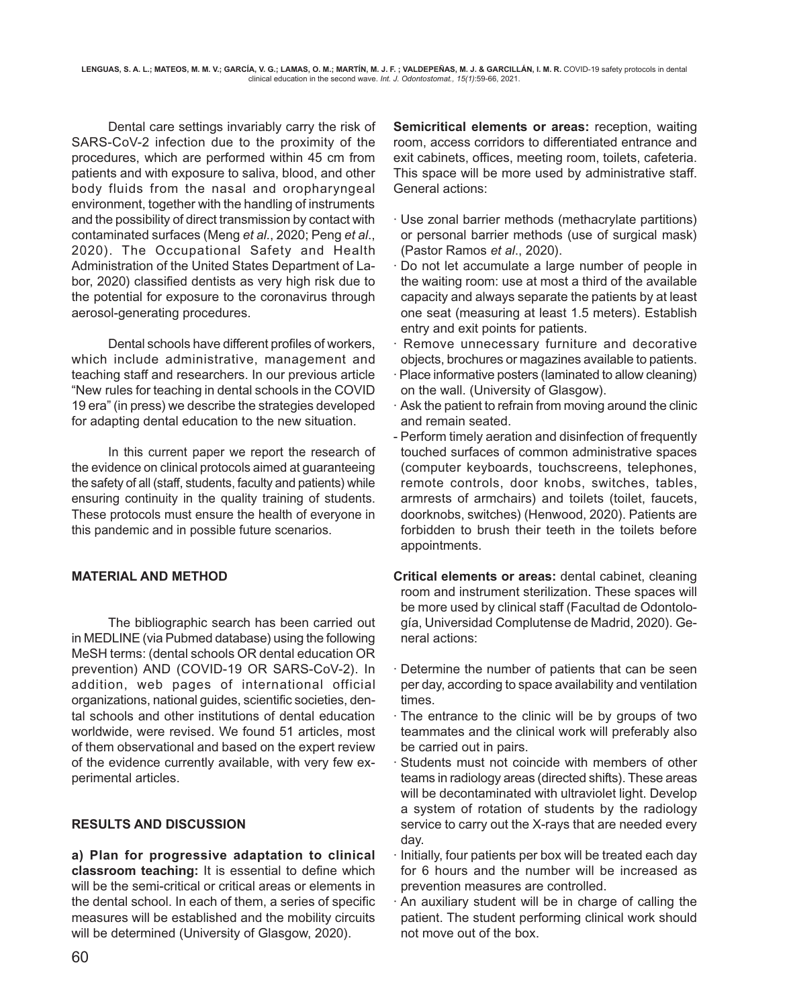Dental care settings invariably carry the risk of SARS-CoV-2 infection due to the proximity of the procedures, which are performed within 45 cm from patients and with exposure to saliva, blood, and other body fluids from the nasal and oropharyngeal environment, together with the handling of instruments and the possibility of direct transmission by contact with contaminated surfaces (Meng *et al*., 2020; Peng *et al*., 2020). The Occupational Safety and Health Administration of the United States Department of Labor, 2020) classified dentists as very high risk due to the potential for exposure to the coronavirus through aerosol-generating procedures.

Dental schools have different profiles of workers, which include administrative, management and teaching staff and researchers. In our previous article "New rules for teaching in dental schools in the COVID 19 era" (in press) we describe the strategies developed for adapting dental education to the new situation.

In this current paper we report the research of the evidence on clinical protocols aimed at guaranteeing the safety of all (staff, students, faculty and patients) while ensuring continuity in the quality training of students. These protocols must ensure the health of everyone in this pandemic and in possible future scenarios.

# **MATERIAL AND METHOD**

The bibliographic search has been carried out in MEDLINE (via Pubmed database) using the following MeSH terms: (dental schools OR dental education OR prevention) AND (COVID-19 OR SARS-CoV-2). In addition, web pages of international official organizations, national guides, scientific societies, dental schools and other institutions of dental education worldwide, were revised. We found 51 articles, most of them observational and based on the expert review of the evidence currently available, with very few experimental articles.

# **RESULTS AND DISCUSSION**

**a) Plan for progressive adaptation to clinical classroom teaching:** It is essential to define which will be the semi-critical or critical areas or elements in the dental school. In each of them, a series of specific measures will be established and the mobility circuits will be determined (University of Glasgow, 2020).

**Semicritical elements or areas:** reception, waiting room, access corridors to differentiated entrance and exit cabinets, offices, meeting room, toilets, cafeteria. This space will be more used by administrative staff. General actions:

- · Use zonal barrier methods (methacrylate partitions) or personal barrier methods (use of surgical mask) (Pastor Ramos *et al*., 2020).
- · Do not let accumulate a large number of people in the waiting room: use at most a third of the available capacity and always separate the patients by at least one seat (measuring at least 1.5 meters). Establish entry and exit points for patients.
- · Remove unnecessary furniture and decorative objects, brochures or magazines available to patients.
- · Place informative posters (laminated to allow cleaning) on the wall. (University of Glasgow).
- · Ask the patient to refrain from moving around the clinic and remain seated.
- Perform timely aeration and disinfection of frequently touched surfaces of common administrative spaces (computer keyboards, touchscreens, telephones, remote controls, door knobs, switches, tables, armrests of armchairs) and toilets (toilet, faucets, doorknobs, switches) (Henwood, 2020). Patients are forbidden to brush their teeth in the toilets before appointments.

**Critical elements or areas:** dental cabinet, cleaning room and instrument sterilization. These spaces will be more used by clinical staff (Facultad de Odontología, Universidad Complutense de Madrid, 2020). General actions:

- Determine the number of patients that can be seen per day, according to space availability and ventilation times.
- · The entrance to the clinic will be by groups of two teammates and the clinical work will preferably also be carried out in pairs.
- Students must not coincide with members of other teams in radiology areas (directed shifts). These areas will be decontaminated with ultraviolet light. Develop a system of rotation of students by the radiology service to carry out the X-rays that are needed every day.
- · Initially, four patients per box will be treated each day for 6 hours and the number will be increased as prevention measures are controlled.
- · An auxiliary student will be in charge of calling the patient. The student performing clinical work should not move out of the box.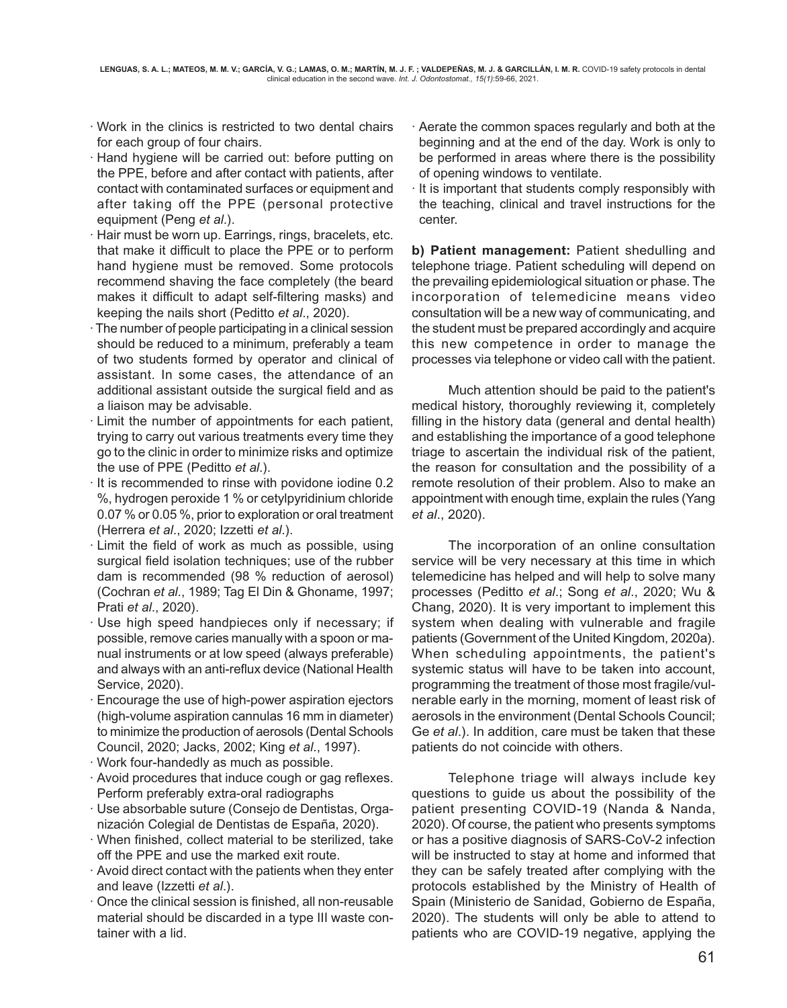- · Work in the clinics is restricted to two dental chairs for each group of four chairs.
- · Hand hygiene will be carried out: before putting on the PPE, before and after contact with patients, after contact with contaminated surfaces or equipment and after taking off the PPE (personal protective equipment (Peng *et al*.).
- · Hair must be worn up. Earrings, rings, bracelets, etc. that make it difficult to place the PPE or to perform hand hygiene must be removed. Some protocols recommend shaving the face completely (the beard makes it difficult to adapt self-filtering masks) and keeping the nails short (Peditto *et al*., 2020).
- · The number of people participating in a clinical session should be reduced to a minimum, preferably a team of two students formed by operator and clinical of assistant. In some cases, the attendance of an additional assistant outside the surgical field and as a liaison may be advisable.
- · Limit the number of appointments for each patient, trying to carry out various treatments every time they go to the clinic in order to minimize risks and optimize the use of PPE (Peditto *et al*.).
- · It is recommended to rinse with povidone iodine 0.2 %, hydrogen peroxide 1 % or cetylpyridinium chloride 0.07 % or 0.05 %, prior to exploration or oral treatment (Herrera *et al*., 2020; Izzetti *et al*.).
- · Limit the field of work as much as possible, using surgical field isolation techniques; use of the rubber dam is recommended (98 % reduction of aerosol) (Cochran *et al*., 1989; Tag El Din & Ghoname, 1997; Prati *et al*., 2020).
- · Use high speed handpieces only if necessary; if possible, remove caries manually with a spoon or manual instruments or at low speed (always preferable) and always with an anti-reflux device (National Health Service, 2020).
- · Encourage the use of high-power aspiration ejectors (high-volume aspiration cannulas 16 mm in diameter) to minimize the production of aerosols (Dental Schools Council, 2020; Jacks, 2002; King *et al*., 1997).
- · Work four-handedly as much as possible.
- · Avoid procedures that induce cough or gag reflexes. Perform preferably extra-oral radiographs
- · Use absorbable suture (Consejo de Dentistas, Organización Colegial de Dentistas de España, 2020).
- · When finished, collect material to be sterilized, take off the PPE and use the marked exit route.
- · Avoid direct contact with the patients when they enter and leave (Izzetti *et al*.).
- · Once the clinical session is finished, all non-reusable material should be discarded in a type III waste container with a lid.
- · Aerate the common spaces regularly and both at the beginning and at the end of the day. Work is only to be performed in areas where there is the possibility of opening windows to ventilate.
- It is important that students comply responsibly with the teaching, clinical and travel instructions for the center.

**b) Patient management:** Patient shedulling and telephone triage. Patient scheduling will depend on the prevailing epidemiological situation or phase. The incorporation of telemedicine means video consultation will be a new way of communicating, and the student must be prepared accordingly and acquire this new competence in order to manage the processes via telephone or video call with the patient.

Much attention should be paid to the patient's medical history, thoroughly reviewing it, completely filling in the history data (general and dental health) and establishing the importance of a good telephone triage to ascertain the individual risk of the patient, the reason for consultation and the possibility of a remote resolution of their problem. Also to make an appointment with enough time, explain the rules (Yang *et al*., 2020).

The incorporation of an online consultation service will be very necessary at this time in which telemedicine has helped and will help to solve many processes (Peditto *et al*.; Song *et al*., 2020; Wu & Chang, 2020). It is very important to implement this system when dealing with vulnerable and fragile patients (Government of the United Kingdom, 2020a). When scheduling appointments, the patient's systemic status will have to be taken into account, programming the treatment of those most fragile/vulnerable early in the morning, moment of least risk of aerosols in the environment (Dental Schools Council; Ge *et al*.). In addition, care must be taken that these patients do not coincide with others.

Telephone triage will always include key questions to guide us about the possibility of the patient presenting COVID-19 (Nanda & Nanda, 2020). Of course, the patient who presents symptoms or has a positive diagnosis of SARS-CoV-2 infection will be instructed to stay at home and informed that they can be safely treated after complying with the protocols established by the Ministry of Health of Spain (Ministerio de Sanidad, Gobierno de España, 2020). The students will only be able to attend to patients who are COVID-19 negative, applying the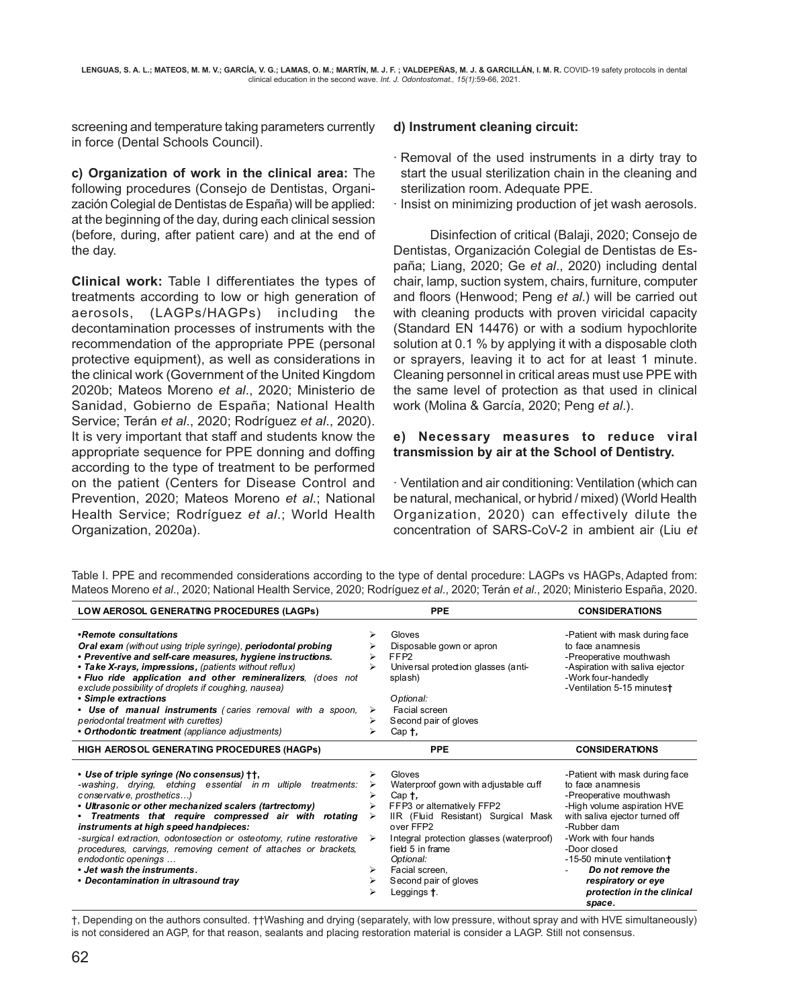screening and temperature taking parameters currently in force (Dental Schools Council).

**c) Organization of work in the clinical area:** The following procedures (Consejo de Dentistas, Organización Colegial de Dentistas de España) will be applied: at the beginning of the day, during each clinical session (before, during, after patient care) and at the end of the day.

**Clinical work:** Table I differentiates the types of treatments according to low or high generation of aerosols, (LAGPs/HAGPs) including the decontamination processes of instruments with the recommendation of the appropriate PPE (personal protective equipment), as well as considerations in the clinical work (Government of the United Kingdom 2020b; Mateos Moreno *et al*., 2020; Ministerio de Sanidad, Gobierno de España; National Health Service; Terán *et al*., 2020; Rodríguez *et al*., 2020). It is very important that staff and students know the appropriate sequence for PPE donning and doffing according to the type of treatment to be performed on the patient (Centers for Disease Control and Prevention, 2020; Mateos Moreno *et al*.; National Health Service; Rodríguez *et al*.; World Health Organization, 2020a).

#### **d) Instrument cleaning circuit:**

- · Removal of the used instruments in a dirty tray to start the usual sterilization chain in the cleaning and sterilization room. Adequate PPE.
- · Insist on minimizing production of jet wash aerosols.

Disinfection of critical (Balaji, 2020; Consejo de Dentistas, Organización Colegial de Dentistas de España; Liang, 2020; Ge *et al*., 2020) including dental chair, lamp, suction system, chairs, furniture, computer and floors (Henwood; Peng *et al*.) will be carried out with cleaning products with proven viricidal capacity (Standard EN 14476) or with a sodium hypochlorite solution at 0.1 % by applying it with a disposable cloth or sprayers, leaving it to act for at least 1 minute. Cleaning personnel in critical areas must use PPE with the same level of protection as that used in clinical work (Molina & García, 2020; Peng *et al*.).

#### **e) Necessary measures to reduce viral transmission by air at the School of Dentistry.**

· Ventilation and air conditioning: Ventilation (which can be natural, mechanical, or hybrid / mixed) (World Health Organization, 2020) can effectively dilute the concentration of SARS-CoV-2 in ambient air (Liu *et*

| LOW AEROSOL GENERATING PROCEDURES (LAGPs)                                                                                                                                                                                                                                                                                                                                                                                                                                                                                                      | <b>PPE</b>                                                                                                               |                                                                                                                                                                                                    | <b>CONSIDERATIONS</b>                                                                                                                                                                                                                                                                                                    |
|------------------------------------------------------------------------------------------------------------------------------------------------------------------------------------------------------------------------------------------------------------------------------------------------------------------------------------------------------------------------------------------------------------------------------------------------------------------------------------------------------------------------------------------------|--------------------------------------------------------------------------------------------------------------------------|----------------------------------------------------------------------------------------------------------------------------------------------------------------------------------------------------|--------------------------------------------------------------------------------------------------------------------------------------------------------------------------------------------------------------------------------------------------------------------------------------------------------------------------|
| •Remote consultations<br><b>Oral exam</b> (without using triple syringe), <b>periodontal probing</b><br>• Preventive and self-care measures, hygiene instructions.<br>• Take X-rays, impressions, (patients without reflux)<br>. Fluo ride application and other remineralizers, (does not<br>exclude possibility of droplets if coughing, nausea)<br>• Simple extractions<br>• Use of manual instruments (caries removal with a spoon,<br>periodontal treatment with curettes)<br>• Orthodontic treatment (appliance adjustments)             | Gloves<br>⋗<br>FFP <sub>2</sub><br>⋗<br>⋗<br>splash)<br>Optional:<br>⋗<br>Cap †,                                         | Disposable gown or apron<br>Universal protection glasses (anti-<br>Facial screen<br>Second pair of gloves                                                                                          | -Patient with mask during face<br>to face anamnesis<br>-Preoperative mouthwash<br>-Aspiration with saliva ejector<br>-Work four-handedly<br>-Ventilation 5-15 minutest                                                                                                                                                   |
| HIGH AEROSOL GENERATING PROCEDURES (HAGPs)                                                                                                                                                                                                                                                                                                                                                                                                                                                                                                     |                                                                                                                          | <b>PPE</b>                                                                                                                                                                                         | <b>CONSIDERATIONS</b>                                                                                                                                                                                                                                                                                                    |
| • Use of triple syringe (No consensus) † †,<br>-washing, drying, etching essential in m ultiple treatments:<br>conservative, prosthetics)<br>• Ultrasonic or other mechanized scalers (tartrectomy)<br>• Treatments that require compressed air with rotating<br>instruments at high speed handpieces:<br>-surgical extraction, odontosection or osteotomy, rutine restorative<br>procedures, carvings, removing cement of attaches or brackets,<br>endodontic openings<br>. Jet wash the instruments.<br>• Decontamination in ultrasound tray | Gloves<br>⋗<br>⋗<br>Cap †,<br>⋗<br>➤<br>over FFP2<br>$\triangleright$<br>Optional:<br>Facial screen,<br>⋗<br>Leggings †. | Waterproof gown with adjustable cuff<br>FFP3 or alternatively FFP2<br>IIR (Fluid Resistant) Surgical Mask<br>Integral protection glasses (waterproof)<br>field 5 in frame<br>Second pair of gloves | -Patient with mask during face<br>to face anamnesis<br>-Preoperative mouthwash<br>-High volume aspiration HVE<br>with saliva ejector turned off<br>-Rubber dam<br>-Work with four hands<br>-Door closed<br>-15-50 minute ventilation+<br>Do not remove the<br>respiratory or eye<br>protection in the clinical<br>space. |

Table I. PPE and recommended considerations according to the type of dental procedure: LAGPs vs HAGPs, Adapted from: Mateos Moreno *et al*., 2020; National Health Service, 2020; Rodríguez *et al*., 2020; Terán *et al*., 2020; Ministerio España, 2020.

†, Depending on the authors consulted. ††Washing and drying (separately, with low pressure, without spray and with HVE simultaneously) is not considered an AGP, for that reason, sealants and placing restoration material is consider a LAGP. Still not consensus.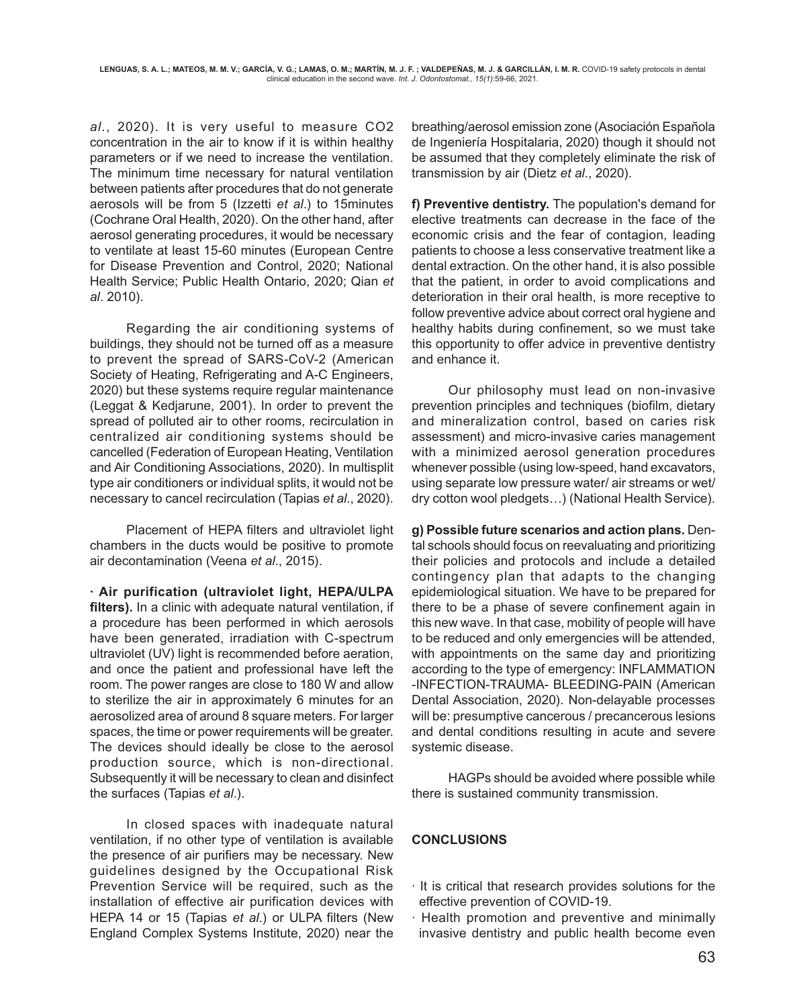*al*., 2020). It is very useful to measure CO2 concentration in the air to know if it is within healthy parameters or if we need to increase the ventilation. The minimum time necessary for natural ventilation between patients after procedures that do not generate aerosols will be from 5 (Izzetti *et al*.) to 15minutes (Cochrane Oral Health, 2020). On the other hand, after aerosol generating procedures, it would be necessary to ventilate at least 15-60 minutes (European Centre for Disease Prevention and Control, 2020; National Health Service; Public Health Ontario, 2020; Qian *et al*. 2010).

Regarding the air conditioning systems of buildings, they should not be turned off as a measure to prevent the spread of SARS-CoV-2 (American Society of Heating, Refrigerating and A-C Engineers, 2020) but these systems require regular maintenance (Leggat & Kedjarune, 2001). In order to prevent the spread of polluted air to other rooms, recirculation in centralized air conditioning systems should be cancelled (Federation of European Heating, Ventilation and Air Conditioning Associations, 2020). In multisplit type air conditioners or individual splits, it would not be necessary to cancel recirculation (Tapias *et al*., 2020).

Placement of HEPA filters and ultraviolet light chambers in the ducts would be positive to promote air decontamination (Veena *et al*., 2015).

**· Air purification (ultraviolet light, HEPA/ULPA filters).** In a clinic with adequate natural ventilation, if a procedure has been performed in which aerosols have been generated, irradiation with C-spectrum ultraviolet (UV) light is recommended before aeration, and once the patient and professional have left the room. The power ranges are close to 180 W and allow to sterilize the air in approximately 6 minutes for an aerosolized area of around 8 square meters. For larger spaces, the time or power requirements will be greater. The devices should ideally be close to the aerosol production source, which is non-directional. Subsequently it will be necessary to clean and disinfect the surfaces (Tapias *et al*.).

In closed spaces with inadequate natural ventilation, if no other type of ventilation is available the presence of air purifiers may be necessary. New guidelines designed by the Occupational Risk Prevention Service will be required, such as the installation of effective air purification devices with HEPA 14 or 15 (Tapias *et al*.) or ULPA filters (New England Complex Systems Institute, 2020) near the breathing/aerosol emission zone (Asociación Española de Ingeniería Hospitalaria, 2020) though it should not be assumed that they completely eliminate the risk of transmission by air (Dietz *et al*., 2020).

**f) Preventive dentistry.** The population's demand for elective treatments can decrease in the face of the economic crisis and the fear of contagion, leading patients to choose a less conservative treatment like a dental extraction. On the other hand, it is also possible that the patient, in order to avoid complications and deterioration in their oral health, is more receptive to follow preventive advice about correct oral hygiene and healthy habits during confinement, so we must take this opportunity to offer advice in preventive dentistry and enhance it.

Our philosophy must lead on non-invasive prevention principles and techniques (biofilm, dietary and mineralization control, based on caries risk assessment) and micro-invasive caries management with a minimized aerosol generation procedures whenever possible (using low-speed, hand excavators, using separate low pressure water/ air streams or wet/ dry cotton wool pledgets…) (National Health Service).

**g) Possible future scenarios and action plans.** Dental schools should focus on reevaluating and prioritizing their policies and protocols and include a detailed contingency plan that adapts to the changing epidemiological situation. We have to be prepared for there to be a phase of severe confinement again in this new wave. In that case, mobility of people will have to be reduced and only emergencies will be attended, with appointments on the same day and prioritizing according to the type of emergency: INFLAMMATION -INFECTION-TRAUMA- BLEEDING-PAIN (American Dental Association, 2020). Non-delayable processes will be: presumptive cancerous / precancerous lesions and dental conditions resulting in acute and severe systemic disease.

HAGPs should be avoided where possible while there is sustained community transmission.

# **CONCLUSIONS**

- · It is critical that research provides solutions for the effective prevention of COVID-19.
- · Health promotion and preventive and minimally invasive dentistry and public health become even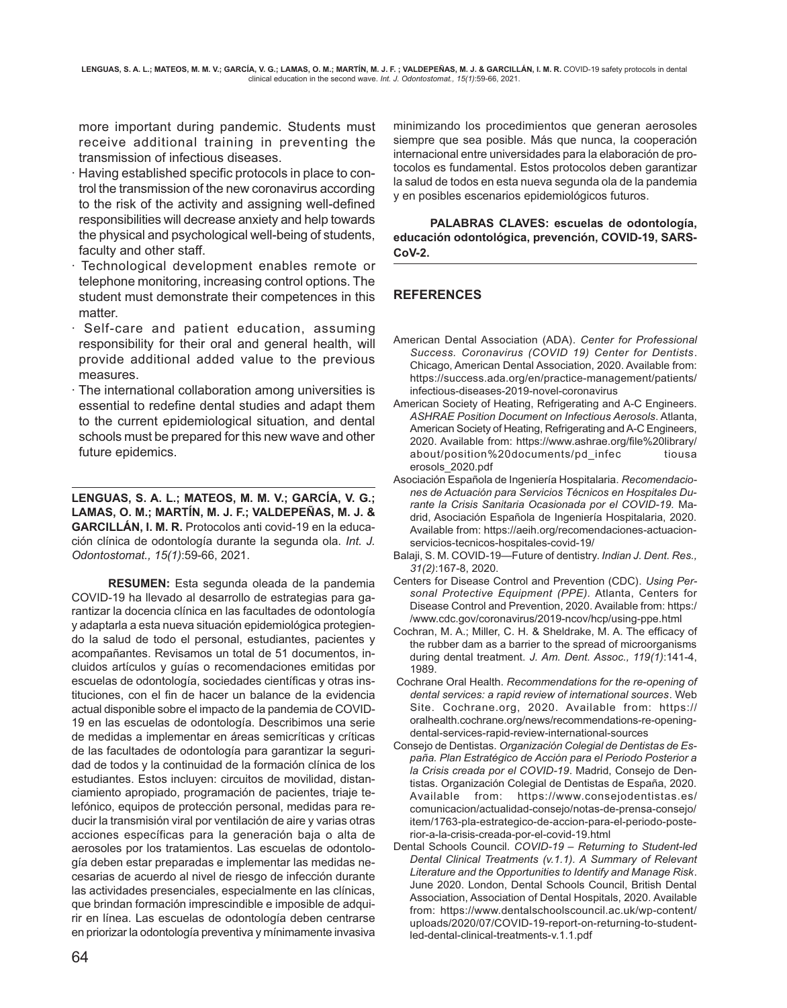more important during pandemic. Students must receive additional training in preventing the transmission of infectious diseases.

- · Having established specific protocols in place to control the transmission of the new coronavirus according to the risk of the activity and assigning well-defined responsibilities will decrease anxiety and help towards the physical and psychological well-being of students, faculty and other staff.
- Technological development enables remote or telephone monitoring, increasing control options. The student must demonstrate their competences in this matter
- · Self-care and patient education, assuming responsibility for their oral and general health, will provide additional added value to the previous measures.
- The international collaboration among universities is essential to redefine dental studies and adapt them to the current epidemiological situation, and dental schools must be prepared for this new wave and other future epidemics.

**LENGUAS, S. A. L.; MATEOS, M. M. V.; GARCÍA, V. G.; LAMAS, O. M.; MARTÍN, M. J. F.; VALDEPEÑAS, M. J. & GARCILLÁN, I. M. R.** Protocolos anti covid-19 en la educación clínica de odontología durante la segunda ola. *Int. J. Odontostomat., 15(1)*:59-66, 2021.

**RESUMEN:** Esta segunda oleada de la pandemia COVID-19 ha llevado al desarrollo de estrategias para garantizar la docencia clínica en las facultades de odontología y adaptarla a esta nueva situación epidemiológica protegiendo la salud de todo el personal, estudiantes, pacientes y acompañantes. Revisamos un total de 51 documentos, incluidos artículos y guías o recomendaciones emitidas por escuelas de odontología, sociedades científicas y otras instituciones, con el fin de hacer un balance de la evidencia actual disponible sobre el impacto de la pandemia de COVID-19 en las escuelas de odontología. Describimos una serie de medidas a implementar en áreas semicríticas y críticas de las facultades de odontología para garantizar la seguridad de todos y la continuidad de la formación clínica de los estudiantes. Estos incluyen: circuitos de movilidad, distanciamiento apropiado, programación de pacientes, triaje telefónico, equipos de protección personal, medidas para reducir la transmisión viral por ventilación de aire y varias otras acciones específicas para la generación baja o alta de aerosoles por los tratamientos. Las escuelas de odontología deben estar preparadas e implementar las medidas necesarias de acuerdo al nivel de riesgo de infección durante las actividades presenciales, especialmente en las clínicas, que brindan formación imprescindible e imposible de adquirir en línea. Las escuelas de odontología deben centrarse en priorizar la odontología preventiva y mínimamente invasiva

minimizando los procedimientos que generan aerosoles siempre que sea posible. Más que nunca, la cooperación internacional entre universidades para la elaboración de protocolos es fundamental. Estos protocolos deben garantizar la salud de todos en esta nueva segunda ola de la pandemia y en posibles escenarios epidemiológicos futuros.

**PALABRAS CLAVES: escuelas de odontología, educación odontológica, prevención, COVID-19, SARS-CoV-2.**

# **REFERENCES**

American Dental Association (ADA). *Center for Professional Success. Coronavirus (COVID 19) Center for Dentists*. Chicago, American Dental Association, 2020. Available from: https://success.ada.org/en/practice-management/patients/ infectious-diseases-2019-novel-coronavirus

- American Society of Heating, Refrigerating and A-C Engineers. *ASHRAE Position Document on Infectious Aerosols*. Atlanta, American Society of Heating, Refrigerating and A-C Engineers, 2020. Available from: https://www.ashrae.org/file%20library/ about/position%20documents/pd\_infec tiousa erosols\_2020.pdf
- Asociación Española de Ingeniería Hospitalaria. *Recomendaciones de Actuación para Servicios Técnicos en Hospitales Durante la Crisis Sanitaria Ocasionada por el COVID-19.* Madrid, Asociación Española de Ingeniería Hospitalaria, 2020. Available from: https://aeih.org/recomendaciones-actuacionservicios-tecnicos-hospitales-covid-19/
- Balaji, S. M. COVID-19—Future of dentistry. *Indian J. Dent. Res., 31(2)*:167-8, 2020.
- Centers for Disease Control and Prevention (CDC). *Using Personal Protective Equipment (PPE).* Atlanta, Centers for Disease Control and Prevention, 2020. Available from: https:/ /www.cdc.gov/coronavirus/2019-ncov/hcp/using-ppe.html
- Cochran, M. A.; Miller, C. H. & Sheldrake, M. A. The efficacy of the rubber dam as a barrier to the spread of microorganisms during dental treatment. *J. Am. Dent. Assoc., 119(1)*:141-4, 1989.
- Cochrane Oral Health. *Recommendations for the re-opening of dental services: a rapid review of international sources*. Web Site. Cochrane.org, 2020. Available from: https:// oralhealth.cochrane.org/news/recommendations-re-openingdental-services-rapid-review-international-sources
- Consejo de Dentistas. *Organización Colegial de Dentistas de España. Plan Estratégico de Acción para el Periodo Posterior a la Crisis creada por el COVID-19*. Madrid, Consejo de Dentistas. Organización Colegial de Dentistas de España, 2020. Available from: https://www.consejodentistas.es/ comunicacion/actualidad-consejo/notas-de-prensa-consejo/ item/1763-pla-estrategico-de-accion-para-el-periodo-posterior-a-la-crisis-creada-por-el-covid-19.html
- Dental Schools Council. *COVID-19 Returning to Student-led Dental Clinical Treatments (v.1.1). A Summary of Relevant Literature and the Opportunities to Identify and Manage Risk*. June 2020. London, Dental Schools Council, British Dental Association, Association of Dental Hospitals, 2020. Available from: https://www.dentalschoolscouncil.ac.uk/wp-content/ uploads/2020/07/COVID-19-report-on-returning-to-studentled-dental-clinical-treatments-v.1.1.pdf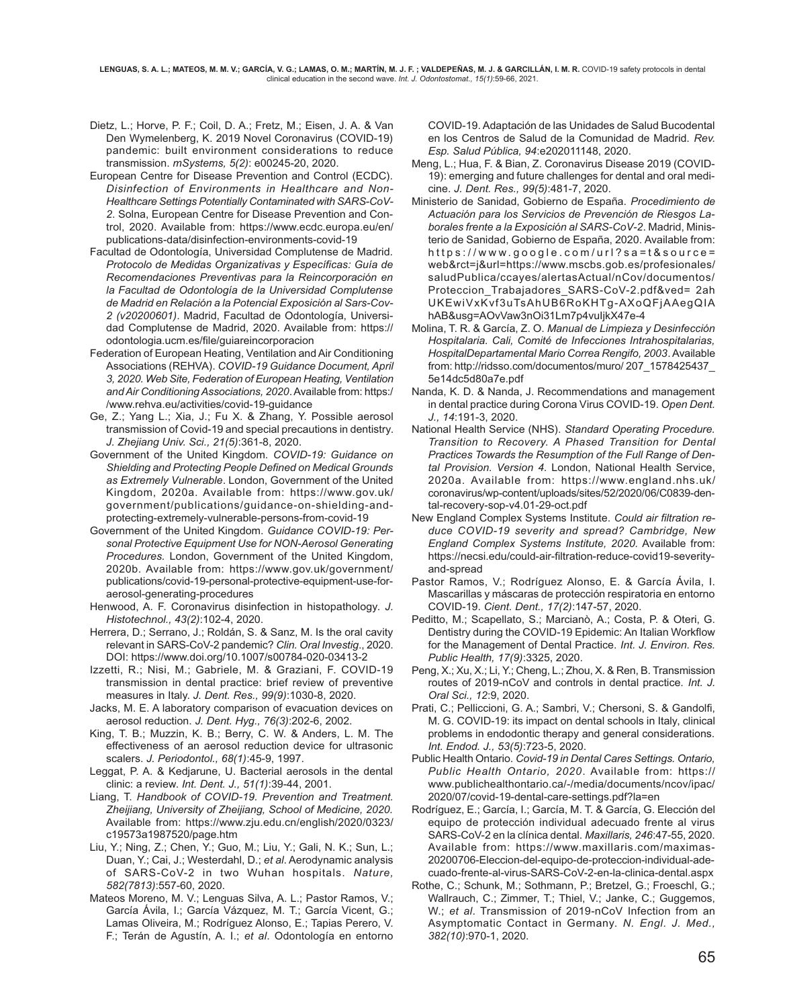- Dietz, L.; Horve, P. F.; Coil, D. A.; Fretz, M.; Eisen, J. A. & Van Den Wymelenberg, K. 2019 Novel Coronavirus (COVID-19) pandemic: built environment considerations to reduce transmission. *mSystems, 5(2)*: e00245-20, 2020.
- European Centre for Disease Prevention and Control (ECDC). *Disinfection of Environments in Healthcare and Non-Healthcare Settings Potentially Contaminated with SARS-CoV-2*. Solna, European Centre for Disease Prevention and Control, 2020. Available from: https://www.ecdc.europa.eu/en/ publications-data/disinfection-environments-covid-19
- Facultad de Odontología, Universidad Complutense de Madrid. *Protocolo de Medidas Organizativas y Específicas: Guía de Recomendaciones Preventivas para la Reincorporación en la Facultad de Odontología de la Universidad Complutense de Madrid en Relación a la Potencial Exposición al Sars-Cov-2 (v20200601)*. Madrid, Facultad de Odontología, Universidad Complutense de Madrid, 2020. Available from: https:// odontologia.ucm.es/file/guiareincorporacion
- Federation of European Heating, Ventilation and Air Conditioning Associations (REHVA). *COVID-19 Guidance Document, April 3, 2020. Web Site, Federation of European Heating, Ventilation and Air Conditioning Associations, 2020*. Available from: https:/ /www.rehva.eu/activities/covid-19-guidance
- Ge, Z.; Yang L.; Xia, J.; Fu X. & Zhang, Y. Possible aerosol transmission of Covid-19 and special precautions in dentistry. *J. Zhejiang Univ. Sci., 21(5)*:361-8, 2020.
- Government of the United Kingdom. *COVID-19: Guidance on Shielding and Protecting People Defined on Medical Grounds as Extremely Vulnerable*. London, Government of the United Kingdom, 2020a. Available from: https://www.gov.uk/ government/publications/guidance-on-shielding-andprotecting-extremely-vulnerable-persons-from-covid-19
- Government of the United Kingdom. *Guidance COVID-19: Personal Protective Equipment Use for NON-Aerosol Generating Procedures.* London, Government of the United Kingdom, 2020b. Available from: https://www.gov.uk/government/ publications/covid-19-personal-protective-equipment-use-foraerosol-generating-procedures
- Henwood, A. F. Coronavirus disinfection in histopathology. *J. Histotechnol., 43(2)*:102-4, 2020.
- Herrera, D.; Serrano, J.; Roldán, S. & Sanz, M. Is the oral cavity relevant in SARS-CoV-2 pandemic? *Clin. Oral Investig*., 2020. DOI: https://www.doi.org/10.1007/s00784-020-03413-2
- Izzetti, R.; Nisi, M.; Gabriele, M. & Graziani, F. COVID-19 transmission in dental practice: brief review of preventive measures in Italy. *J. Dent. Res., 99(9)*:1030-8, 2020.
- Jacks, M. E. A laboratory comparison of evacuation devices on aerosol reduction. *J. Dent. Hyg., 76(3)*:202-6, 2002.
- King, T. B.; Muzzin, K. B.; Berry, C. W. & Anders, L. M. The effectiveness of an aerosol reduction device for ultrasonic scalers. *J. Periodontol., 68(1)*:45-9, 1997.
- Leggat, P. A. & Kedjarune, U. Bacterial aerosols in the dental clinic: a review. *Int. Dent. J., 51(1)*:39-44, 2001.
- Liang, T. *Handbook of COVID-19. Prevention and Treatment. Zheijiang, University of Zheijiang, School of Medicine, 2020.* Available from: https://www.zju.edu.cn/english/2020/0323/ c19573a1987520/page.htm
- Liu, Y.; Ning, Z.; Chen, Y.; Guo, M.; Liu, Y.; Gali, N. K.; Sun, L.; Duan, Y.; Cai, J.; Westerdahl, D.; *et al*. Aerodynamic analysis of SARS-CoV-2 in two Wuhan hospitals. *Nature, 582(7813)*:557-60, 2020.
- Mateos Moreno, M. V.; Lenguas Silva, A. L.; Pastor Ramos, V.; García Ávila, I.; García Vázquez, M. T.; García Vicent, G.; Lamas Oliveira, M.; Rodríguez Alonso, E.; Tapias Perero, V. F.; Terán de Agustín, A. I.; *et al*. Odontología en entorno

COVID-19. Adaptación de las Unidades de Salud Bucodental en los Centros de Salud de la Comunidad de Madrid. *Rev. Esp. Salud Pública, 94*:e202011148, 2020.

- Meng, L.; Hua, F. & Bian, Z. Coronavirus Disease 2019 (COVID-19): emerging and future challenges for dental and oral medicine. *J. Dent. Res., 99(5)*:481-7, 2020.
- Ministerio de Sanidad, Gobierno de España. *Procedimiento de Actuación para los Servicios de Prevención de Riesgos Laborales frente a la Exposición al SARS-CoV-2*. Madrid, Ministerio de Sanidad, Gobierno de España, 2020. Available from: https://www.google.com/url?sa=t&source= web&rct=j&url=https://www.mscbs.gob.es/profesionales/ saludPublica/ccayes/alertasActual/nCov/documentos/ Proteccion\_Trabajadores\_SARS-CoV-2.pdf&ved= 2ah UKEwiVxKvf3uTsAhUB6RoKHTg-AXoQFjAAegQIA hAB&usg=AOvVaw3nOi31Lm7p4vuIjkX47e-4
- Molina, T. R. & García, Z. O. *Manual de Limpieza y Desinfección Hospitalaria. Cali, Comité de Infecciones Intrahospitalarias, HospitalDepartamental Mario Correa Rengifo, 2003*. Available from: http://ridsso.com/documentos/muro/ 207\_1578425437\_ 5e14dc5d80a7e.pdf
- Nanda, K. D. & Nanda, J. Recommendations and management in dental practice during Corona Virus COVID-19. *Open Dent. J., 14*:191-3, 2020.
- National Health Service (NHS). *Standard Operating Procedure. Transition to Recovery. A Phased Transition for Dental Practices Towards the Resumption of the Full Range of Dental Provision. Version 4*. London, National Health Service, 2020a. Available from: https://www.england.nhs.uk/ coronavirus/wp-content/uploads/sites/52/2020/06/C0839-dental-recovery-sop-v4.01-29-oct.pdf
- New England Complex Systems Institute. *Could air filtration reduce COVID-19 severity and spread? Cambridge, New England Complex Systems Institute, 2020.* Available from: https://necsi.edu/could-air-filtration-reduce-covid19-severityand-spread
- Pastor Ramos, V.; Rodríguez Alonso, E. & García Ávila, I. Mascarillas y máscaras de protección respiratoria en entorno COVID-19. *Cient. Dent., 17(2)*:147-57, 2020.
- Peditto, M.; Scapellato, S.; Marcianò, A.; Costa, P. & Oteri, G. Dentistry during the COVID-19 Epidemic: An Italian Workflow for the Management of Dental Practice. *Int. J. Environ. Res. Public Health, 17(9)*:3325, 2020.
- Peng, X.; Xu, X.; Li, Y.; Cheng, L.; Zhou, X. & Ren, B. Transmission routes of 2019-nCoV and controls in dental practice. *Int. J. Oral Sci., 12*:9, 2020.
- Prati, C.; Pelliccioni, G. A.; Sambri, V.; Chersoni, S. & Gandolfi, M. G. COVID-19: its impact on dental schools in Italy, clinical problems in endodontic therapy and general considerations. *Int. Endod. J., 53(5)*:723-5, 2020.
- Public Health Ontario. *Covid-19 in Dental Cares Settings. Ontario, Public Health Ontario, 2020*. Available from: https:// www.publichealthontario.ca/-/media/documents/ncov/ipac/ 2020/07/covid-19-dental-care-settings.pdf?la=en
- Rodríguez, E.; García, I.; García, M. T. & García, G. Elección del equipo de protección individual adecuado frente al virus SARS-CoV-2 en la clínica dental. *Maxillaris, 246*:47-55, 2020. Available from: https://www.maxillaris.com/maximas-20200706-Eleccion-del-equipo-de-proteccion-individual-adecuado-frente-al-virus-SARS-CoV-2-en-la-clinica-dental.aspx
- Rothe, C.; Schunk, M.; Sothmann, P.; Bretzel, G.; Froeschl, G.; Wallrauch, C.; Zimmer, T.; Thiel, V.; Janke, C.; Guggemos, W.; *et al*. Transmission of 2019-nCoV Infection from an Asymptomatic Contact in Germany. *N. Engl. J. Med., 382(10)*:970-1, 2020.